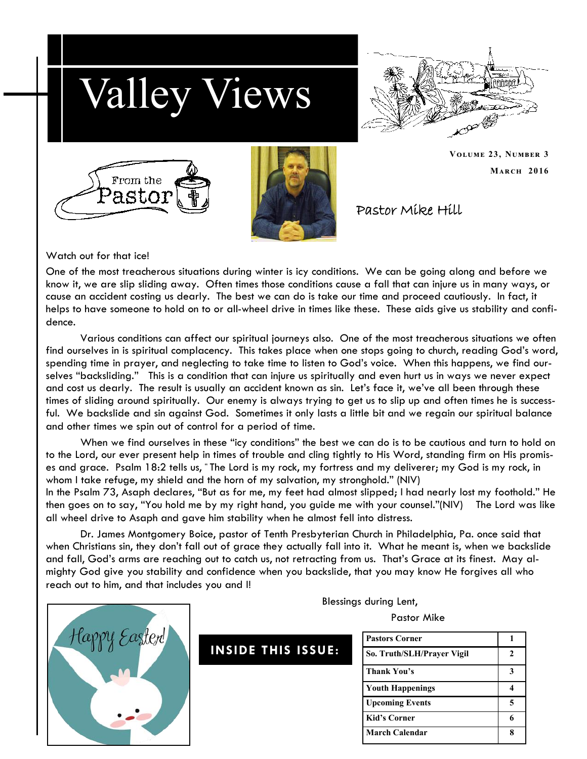



**March 2016**

**Volume 23, Number 3**





Pastor Mike Hill

Watch out for that ice!

One of the most treacherous situations during winter is icy conditions. We can be going along and before we know it, we are slip sliding away. Often times those conditions cause a fall that can injure us in many ways, or cause an accident costing us dearly. The best we can do is take our time and proceed cautiously. In fact, it helps to have someone to hold on to or all-wheel drive in times like these. These aids give us stability and confidence.

Various conditions can affect our spiritual journeys also. One of the most treacherous situations we often find ourselves in is spiritual complacency. This takes place when one stops going to church, reading God's word, spending time in prayer, and neglecting to take time to listen to God's voice. When this happens, we find ourselves "backsliding." This is a condition that can injure us spiritually and even hurt us in ways we never expect and cost us dearly. The result is usually an accident known as sin. Let's face it, we've all been through these times of sliding around spiritually. Our enemy is always trying to get us to slip up and often times he is successful. We backslide and sin against God. Sometimes it only lasts a little bit and we regain our spiritual balance and other times we spin out of control for a period of time.

When we find ourselves in these "icy conditions" the best we can do is to be cautious and turn to hold on to the Lord, our ever present help in times of trouble and cling tightly to His Word, standing firm on His promises and grace. Psalm 18:2 tells us, " The Lord is my rock, my fortress and my deliverer; my God is my rock, in whom I take refuge, my shield and the horn of my salvation, my stronghold." (NIV)

In the Psalm 73, Asaph declares, "But as for me, my feet had almost slipped; I had nearly lost my foothold." He then goes on to say, "You hold me by my right hand, you guide me with your counsel."(NIV) The Lord was like all wheel drive to Asaph and gave him stability when he almost fell into distress.

Dr. James Montgomery Boice, pastor of Tenth Presbyterian Church in Philadelphia, Pa. once said that when Christians sin, they don't fall out of grace they actually fall into it. What he meant is, when we backslide and fall, God's arms are reaching out to catch us, not retracting from us. That's Grace at its finest. May almighty God give you stability and confidence when you backslide, that you may know He forgives all who reach out to him, and that includes you and I!

Blessings during Lent,

Pastor Mike

| <b>Pastors Corner</b>      |   |
|----------------------------|---|
| So. Truth/SLH/Prayer Vigil |   |
| Thank You's                |   |
| <b>Youth Happenings</b>    |   |
| <b>Upcoming Events</b>     | 5 |
| <b>Kid's Corner</b>        |   |
| March Calendar             |   |



**INSIDE THIS ISSUE:**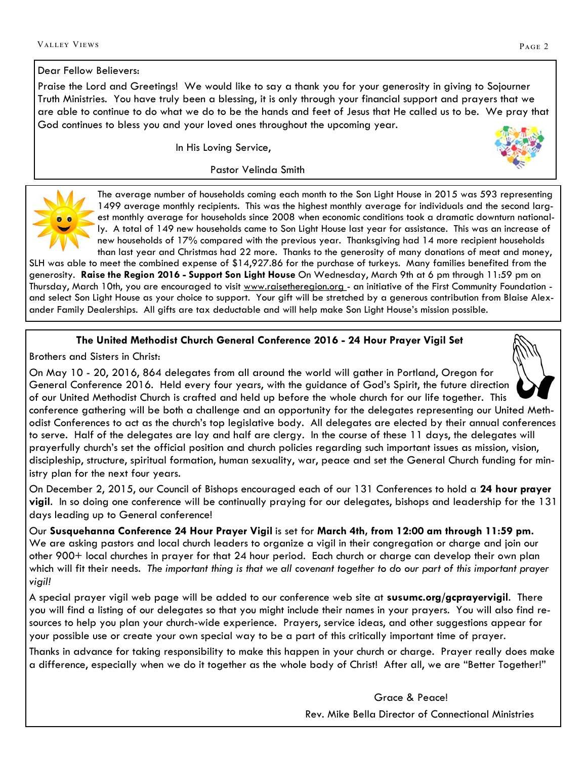### Dear Fellow Believers:

Praise the Lord and Greetings! We would like to say a thank you for your generosity in giving to Sojourner Truth Ministries. You have truly been a blessing, it is only through your financial support and prayers that we are able to continue to do what we do to be the hands and feet of Jesus that He called us to be. We pray that God continues to bless you and your loved ones throughout the upcoming year.

In His Loving Service,

Pastor Velinda Smith

The average number of households coming each month to the Son Light House in 2015 was 593 representing 1499 average monthly recipients. This was the highest monthly average for individuals and the second largest monthly average for households since 2008 when economic conditions took a dramatic downturn nationally. A total of 149 new households came to Son Light House last year for assistance. This was an increase of new households of 17% compared with the previous year. Thanksgiving had 14 more recipient households than last year and Christmas had 22 more. Thanks to the generosity of many donations of meat and money,

SLH was able to meet the combined expense of \$14,927.86 for the purchase of turkeys. Many families benefited from the generosity. **Raise the Region 2016 - Support Son Light House** On Wednesday, March 9th at 6 pm through 11:59 pm on Thursday, March 10th, you are encouraged to visit www.raisetheregion.org - an initiative of the First Community Foundation and select Son Light House as your choice to support. Your gift will be stretched by a generous contribution from Blaise Alexander Family Dealerships. All gifts are tax deductable and will help make Son Light House's mission possible.

# **The United Methodist Church General Conference 2016 - 24 Hour Prayer Vigil Set**

Brothers and Sisters in Christ:

On May 10 - 20, 2016, 864 delegates from all around the world will gather in Portland, Oregon for General Conference 2016. Held every four years, with the guidance of God's Spirit, the future direction of our United Methodist Church is crafted and held up before the whole church for our life together. This conference gathering will be both a challenge and an opportunity for the delegates representing our United Methodist Conferences to act as the church's top legislative body. All delegates are elected by their annual conferences to serve. Half of the delegates are lay and half are clergy. In the course of these 11 days, the delegates will prayerfully church's set the official position and church policies regarding such important issues as mission, vision, discipleship, structure, spiritual formation, human sexuality, war, peace and set the General Church funding for ministry plan for the next four years.

On December 2, 2015, our Council of Bishops encouraged each of our 131 Conferences to hold a **24 hour prayer vigil**. In so doing one conference will be continually praying for our delegates, bishops and leadership for the 131 days leading up to General conference!

Our **Susquehanna Conference 24 Hour Prayer Vigil** is set for **March 4th, from 12:00 am through 11:59 pm.** We are asking pastors and local church leaders to organize a vigil in their congregation or charge and join our other 900+ local churches in prayer for that 24 hour period. Each church or charge can develop their own plan which will fit their needs. *The important thing is that we all covenant together to do our part of this important prayer vigil!*

A special prayer vigil web page will be added to our conference web site at **susumc.org/gcprayervigil**. There you will find a listing of our delegates so that you might include their names in your prayers. You will also find resources to help you plan your church-wide experience. Prayers, service ideas, and other suggestions appear for your possible use or create your own special way to be a part of this critically important time of prayer.

Thanks in advance for taking responsibility to make this happen in your church or charge. Prayer really does make a difference, especially when we do it together as the whole body of Christ! After all, we are "Better Together!"

> Grace & Peace! Rev. Mike Bella Director of Connectional Ministries

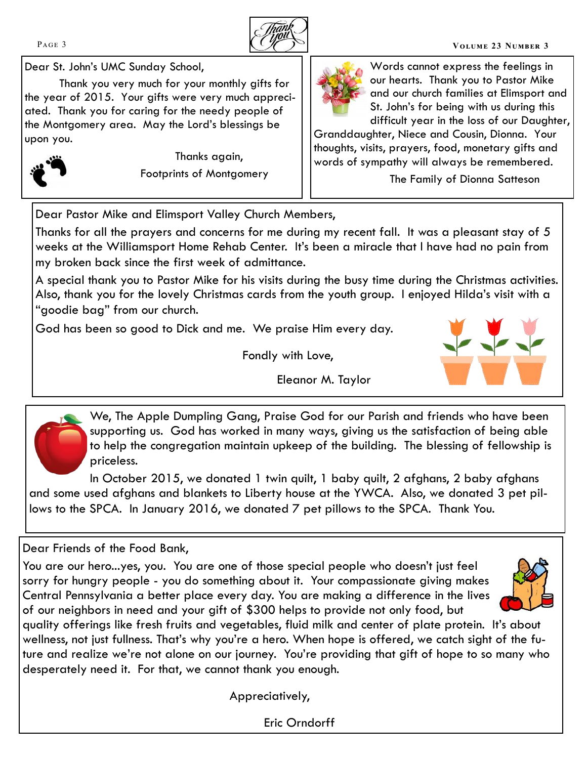

#### PAGE 3 **VOLUME 23 NUMBER 3**

Dear St. John's UMC Sunday School,

Thank you very much for your monthly gifts for the year of 2015. Your gifts were very much appreciated. Thank you for caring for the needy people of the Montgomery area. May the Lord's blessings be upon you.



Thanks again, Footprints of Montgomery



Words cannot express the feelings in our hearts. Thank you to Pastor Mike and our church families at Elimsport and St. John's for being with us during this difficult year in the loss of our Daughter,

Granddaughter, Niece and Cousin, Dionna. Your thoughts, visits, prayers, food, monetary gifts and words of sympathy will always be remembered.

The Family of Dionna Satteson

Dear Pastor Mike and Elimsport Valley Church Members,

Thanks for all the prayers and concerns for me during my recent fall. It was a pleasant stay of 5 weeks at the Williamsport Home Rehab Center. It's been a miracle that I have had no pain from my broken back since the first week of admittance.

A special thank you to Pastor Mike for his visits during the busy time during the Christmas activities. Also, thank you for the lovely Christmas cards from the youth group. I enjoyed Hilda's visit with a "goodie bag" from our church.

God has been so good to Dick and me. We praise Him every day.

Fondly with Love,

Eleanor M. Taylor



priceless.

In October 2015, we donated 1 twin quilt, 1 baby quilt, 2 afghans, 2 baby afghans and some used afghans and blankets to Liberty house at the YWCA. Also, we donated 3 pet pillows to the SPCA. In January 2016, we donated 7 pet pillows to the SPCA. Thank You.

# Dear Friends of the Food Bank,

You are our hero...yes, you. You are one of those special people who doesn't just feel sorry for hungry people - you do something about it. Your compassionate giving makes Central Pennsylvania a better place every day. You are making a difference in the lives of our neighbors in need and your gift of \$300 helps to provide not only food, but



quality offerings like fresh fruits and vegetables, fluid milk and center of plate protein. It's about wellness, not just fullness. That's why you're a hero. When hope is offered, we catch sight of the future and realize we're not alone on our journey. You're providing that gift of hope to so many who desperately need it. For that, we cannot thank you enough.

Appreciatively,

Eric Orndorff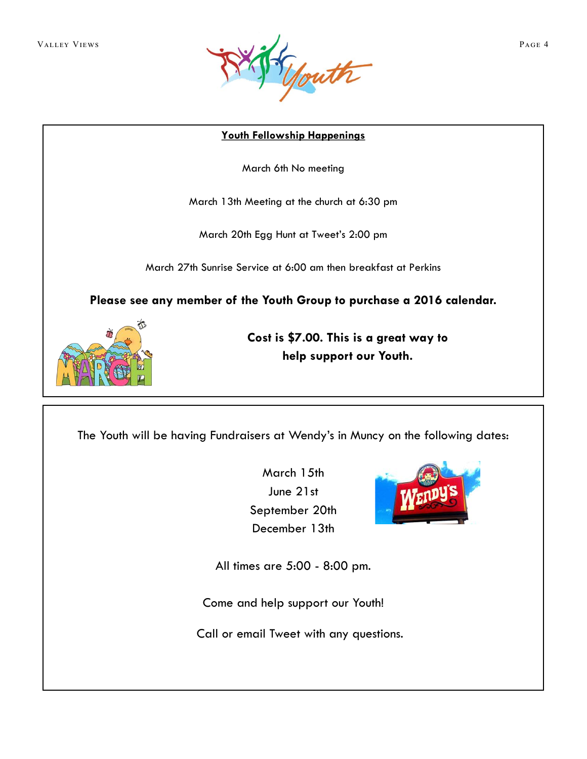

## **Youth Fellowship Happenings**

March 6th No meeting

March 13th Meeting at the church at 6:30 pm

March 20th Egg Hunt at Tweet's 2:00 pm

March 27th Sunrise Service at 6:00 am then breakfast at Perkins

**Please see any member of the Youth Group to purchase a 2016 calendar.** 



**Cost is \$7.00. This is a great way to help support our Youth.**

The Youth will be having Fundraisers at Wendy's in Muncy on the following dates:

March 15th June 21st September 20th December 13th



All times are 5:00 - 8:00 pm.

Come and help support our Youth!

Call or email Tweet with any questions.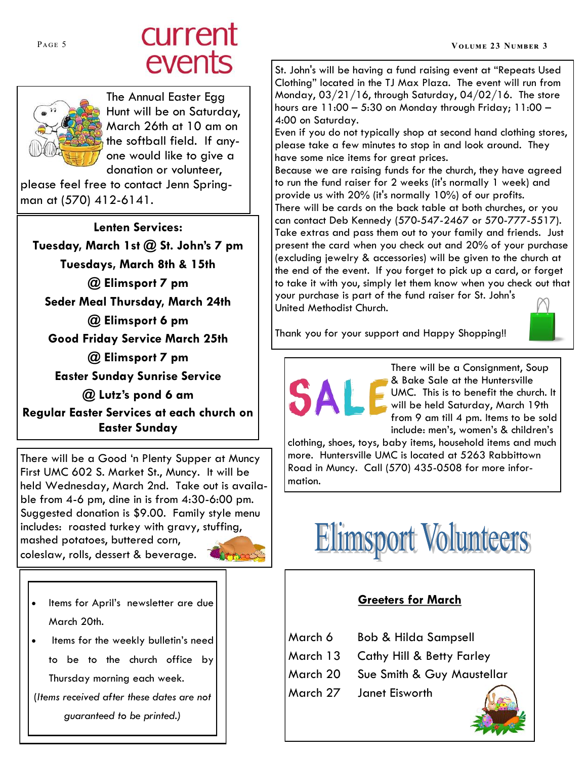# PAGE 5 **CULTENT**<br>
PAGE 5 **VOLUME 23 NUMBER 3**<br> **PAGE 5 VOLUME 23 NUMBER 3**



The Annual Easter Egg Hunt will be on Saturday, March 26th at 10 am on the softball field. If anyone would like to give a donation or volunteer,

please feel free to contact Jenn Springman at (570) 412-6141.

**Lenten Services: Tuesday, March 1st @ St. John's 7 pm Tuesdays, March 8th & 15th @ Elimsport 7 pm Seder Meal Thursday, March 24th @ Elimsport 6 pm Good Friday Service March 25th @ Elimsport 7 pm Easter Sunday Sunrise Service @ Lutz's pond 6 am Regular Easter Services at each church on Easter Sunday**

There will be a Good 'n Plenty Supper at Muncy First UMC 602 S. Market St., Muncy. It will be held Wednesday, March 2nd. Take out is available from 4-6 pm, dine in is from 4:30-6:00 pm. Suggested donation is \$9.00. Family style menu includes: roasted turkey with gravy, stuffing, mashed potatoes, buttered corn, coleslaw, rolls, dessert & beverage.



- Items for April's newsletter are due March 20th.
- Items for the weekly bulletin's need to be to the church office by Thursday morning each week.

(*Items received after these dates are not guaranteed to be printed.)*

St. John's will be having a fund raising event at "Repeats Used Clothing" located in the TJ Max Plaza. The event will run from Monday, 03/21/16, through Saturday, 04/02/16. The store hours are 11:00 – 5:30 on Monday through Friday; 11:00 – 4:00 on Saturday.

Even if you do not typically shop at second hand clothing stores, please take a few minutes to stop in and look around. They have some nice items for great prices.

Because we are raising funds for the church, they have agreed to run the fund raiser for 2 weeks (it's normally 1 week) and provide us with 20% (it's normally 10%) of our profits. There will be cards on the back table at both churches, or you can contact Deb Kennedy (570-547-2467 or 570-777-5517). Take extras and pass them out to your family and friends. Just present the card when you check out and 20% of your purchase (excluding jewelry & accessories) will be given to the church at the end of the event. If you forget to pick up a card, or forget to take it with you, simply let them know when you check out that your purchase is part of the fund raiser for St. John's United Methodist Church.



Thank you for your support and Happy Shopping!!

There will be a Consignment, Soup & Bake Sale at the Huntersville UMC. This is to benefit the church. It will be held Saturday, March 19th from 9 am till 4 pm. Items to be sold include: men's, women's & children's

clothing, shoes, toys, baby items, household items and much more. Huntersville UMC is located at 5263 Rabbittown Road in Muncy. Call (570) 435-0508 for more information.



# **Greeters for March**

March 6 Bob & Hilda Sampsell March 13 Cathy Hill & Betty Farley March 20 Sue Smith & Guy Maustellar March 27 Janet Eisworth

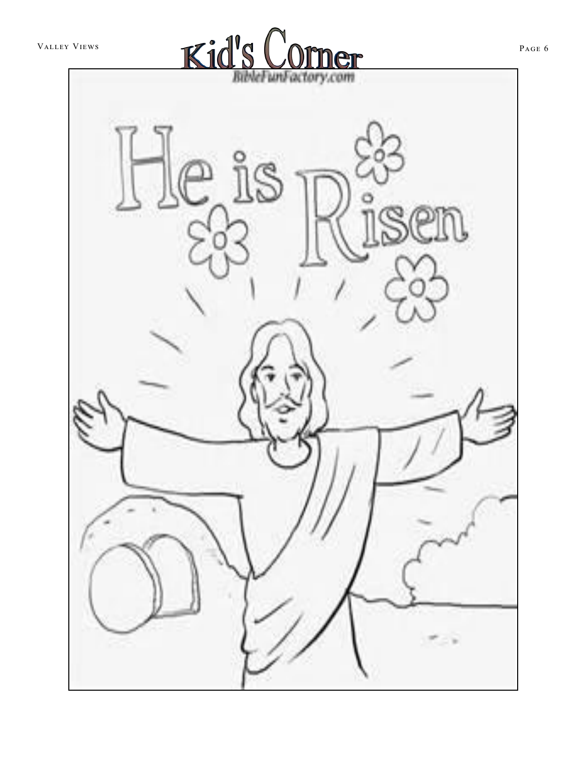